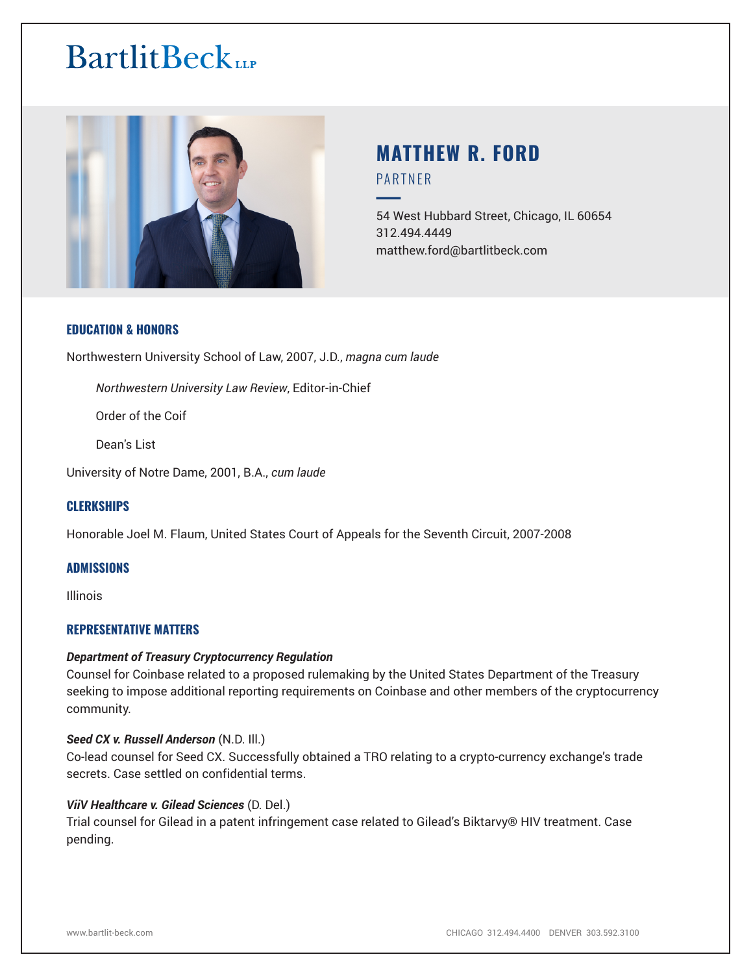

# **MATTHEW R. FORD** PARTNER

54 West Hubbard Street, Chicago, IL 60654 312.494.4449 matthew.ford@bartlitbeck.com

#### **EDUCATION & HONORS**

Northwestern University School of Law, 2007, J.D., *magna cum laude*

*Northwestern University Law Review*, Editor-in-Chief

Order of the Coif

Dean's List

University of Notre Dame, 2001, B.A., *cum laude*

# **CLERKSHIPS**

Honorable Joel M. Flaum, United States Court of Appeals for the Seventh Circuit, 2007-2008

#### **ADMISSIONS**

Illinois

# **REPRESENTATIVE MATTERS**

#### *Department of Treasury Cryptocurrency Regulation*

Counsel for Coinbase related to a proposed rulemaking by the United States Department of the Treasury seeking to impose additional reporting requirements on Coinbase and other members of the cryptocurrency community.

#### *Seed CX v. Russell Anderson* (N.D. Ill.)

Co-lead counsel for Seed CX. Successfully obtained a TRO relating to a crypto-currency exchange's trade secrets. Case settled on confidential terms.

#### *ViiV Healthcare v. Gilead Sciences* (D. Del.)

Trial counsel for Gilead in a patent infringement case related to Gilead's Biktarvy® HIV treatment. Case pending.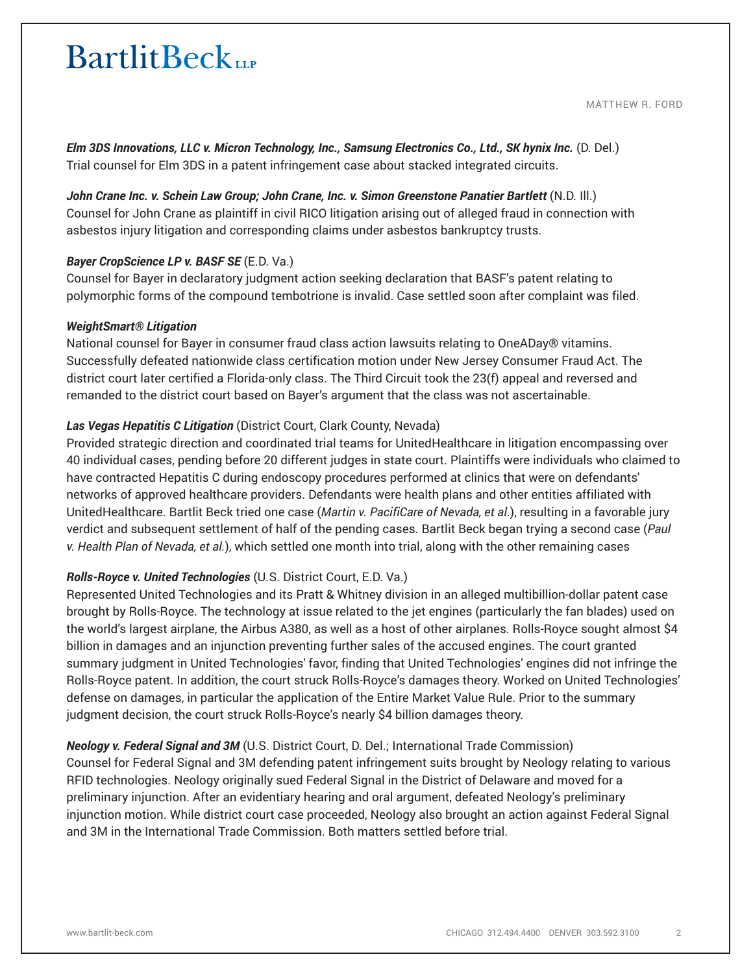MATTHEW R. FORD

*Elm 3DS Innovations, LLC v. Micron Technology, Inc., Samsung Electronics Co., Ltd., SK hynix Inc.* (D. Del.) Trial counsel for Elm 3DS in a patent infringement case about stacked integrated circuits.

John Crane Inc. v. Schein Law Group; John Crane, Inc. v. Simon Greenstone Panatier Bartlett (N.D. III.) Counsel for John Crane as plaintiff in civil RICO litigation arising out of alleged fraud in connection with asbestos injury litigation and corresponding claims under asbestos bankruptcy trusts.

#### *Bayer CropScience LP v. BASF SE* (E.D. Va.)

Counsel for Bayer in declaratory judgment action seeking declaration that BASF's patent relating to polymorphic forms of the compound tembotrione is invalid. Case settled soon after complaint was filed.

#### *WeightSmart® Litigation*

National counsel for Bayer in consumer fraud class action lawsuits relating to OneADay® vitamins. Successfully defeated nationwide class certification motion under New Jersey Consumer Fraud Act. The district court later certified a Florida-only class. The Third Circuit took the 23(f) appeal and reversed and remanded to the district court based on Bayer's argument that the class was not ascertainable.

# *Las Vegas Hepatitis C Litigation* (District Court, Clark County, Nevada)

Provided strategic direction and coordinated trial teams for UnitedHealthcare in litigation encompassing over 40 individual cases, pending before 20 different judges in state court. Plaintiffs were individuals who claimed to have contracted Hepatitis C during endoscopy procedures performed at clinics that were on defendants' networks of approved healthcare providers. Defendants were health plans and other entities affiliated with UnitedHealthcare. Bartlit Beck tried one case (*Martin v. PacifiCare of Nevada, et al*.), resulting in a favorable jury verdict and subsequent settlement of half of the pending cases. Bartlit Beck began trying a second case (*Paul v. Health Plan of Nevada, et al.*), which settled one month into trial, along with the other remaining cases

# *Rolls-Royce v. United Technologies* (U.S. District Court, E.D. Va.)

Represented United Technologies and its Pratt & Whitney division in an alleged multibillion-dollar patent case brought by Rolls-Royce. The technology at issue related to the jet engines (particularly the fan blades) used on the world's largest airplane, the Airbus A380, as well as a host of other airplanes. Rolls-Royce sought almost \$4 billion in damages and an injunction preventing further sales of the accused engines. The court granted summary judgment in United Technologies' favor, finding that United Technologies' engines did not infringe the Rolls-Royce patent. In addition, the court struck Rolls-Royce's damages theory. Worked on United Technologies' defense on damages, in particular the application of the Entire Market Value Rule. Prior to the summary judgment decision, the court struck Rolls-Royce's nearly \$4 billion damages theory.

# *Neology v. Federal Signal and 3M* (U.S. District Court, D. Del.; International Trade Commission)

Counsel for Federal Signal and 3M defending patent infringement suits brought by Neology relating to various RFID technologies. Neology originally sued Federal Signal in the District of Delaware and moved for a preliminary injunction. After an evidentiary hearing and oral argument, defeated Neology's preliminary injunction motion. While district court case proceeded, Neology also brought an action against Federal Signal and 3M in the International Trade Commission. Both matters settled before trial.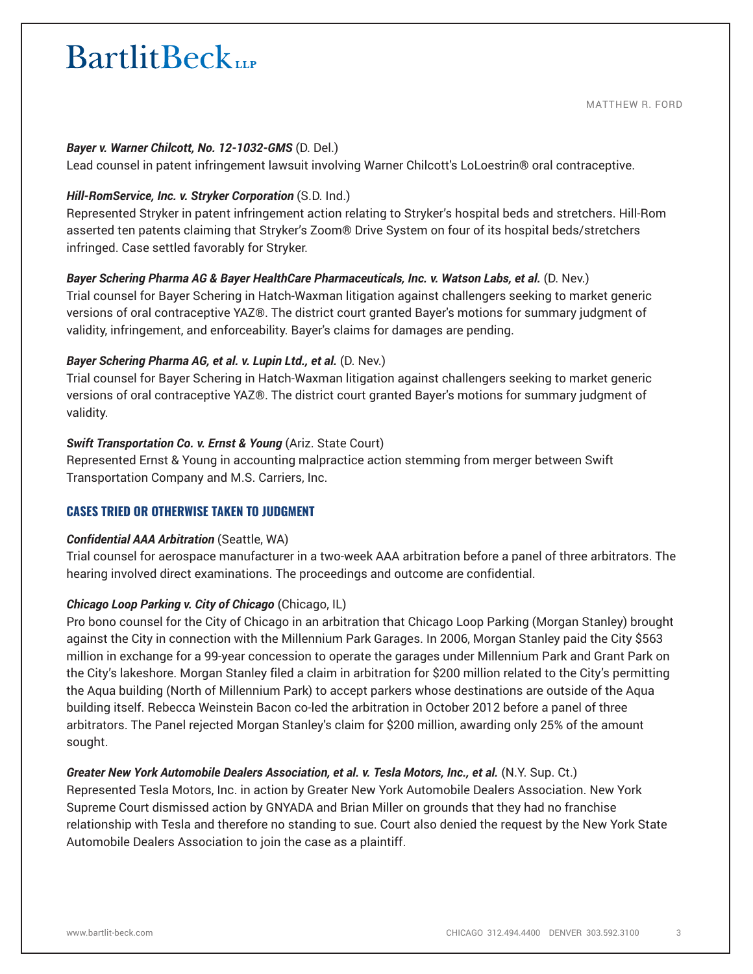MATTHEW R. FORD

#### *Bayer v. Warner Chilcott, No. 12-1032-GMS* (D. Del.)

Lead counsel in patent infringement lawsuit involving Warner Chilcott's LoLoestrin® oral contraceptive.

#### *Hill-RomService, Inc. v. Stryker Corporation* (S.D. Ind.)

Represented Stryker in patent infringement action relating to Stryker's hospital beds and stretchers. Hill-Rom asserted ten patents claiming that Stryker's Zoom® Drive System on four of its hospital beds/stretchers infringed. Case settled favorably for Stryker.

#### *Bayer Schering Pharma AG & Bayer HealthCare Pharmaceuticals, Inc. v. Watson Labs, et al.* (D. Nev.)

Trial counsel for Bayer Schering in Hatch-Waxman litigation against challengers seeking to market generic versions of oral contraceptive YAZ®. The district court granted Bayer's motions for summary judgment of validity, infringement, and enforceability. Bayer's claims for damages are pending.

# *Bayer Schering Pharma AG, et al. v. Lupin Ltd., et al.* (D. Nev.)

Trial counsel for Bayer Schering in Hatch-Waxman litigation against challengers seeking to market generic versions of oral contraceptive YAZ®. The district court granted Bayer's motions for summary judgment of validity.

# *Swift Transportation Co. v. Ernst & Young* (Ariz. State Court)

Represented Ernst & Young in accounting malpractice action stemming from merger between Swift Transportation Company and M.S. Carriers, Inc.

# **CASES TRIED OR OTHERWISE TAKEN TO JUDGMENT**

#### *Confidential AAA Arbitration* (Seattle, WA)

Trial counsel for aerospace manufacturer in a two-week AAA arbitration before a panel of three arbitrators. The hearing involved direct examinations. The proceedings and outcome are confidential.

# *Chicago Loop Parking v. City of Chicago* (Chicago, IL)

Pro bono counsel for the City of Chicago in an arbitration that Chicago Loop Parking (Morgan Stanley) brought against the City in connection with the Millennium Park Garages. In 2006, Morgan Stanley paid the City \$563 million in exchange for a 99-year concession to operate the garages under Millennium Park and Grant Park on the City's lakeshore. Morgan Stanley filed a claim in arbitration for \$200 million related to the City's permitting the Aqua building (North of Millennium Park) to accept parkers whose destinations are outside of the Aqua building itself. Rebecca Weinstein Bacon co-led the arbitration in October 2012 before a panel of three arbitrators. The Panel rejected Morgan Stanley's claim for \$200 million, awarding only 25% of the amount sought.

# *Greater New York Automobile Dealers Association, et al. v. Tesla Motors, Inc., et al.* (N.Y. Sup. Ct.)

Represented Tesla Motors, Inc. in action by Greater New York Automobile Dealers Association. New York Supreme Court dismissed action by GNYADA and Brian Miller on grounds that they had no franchise relationship with Tesla and therefore no standing to sue. Court also denied the request by the New York State Automobile Dealers Association to join the case as a plaintiff.